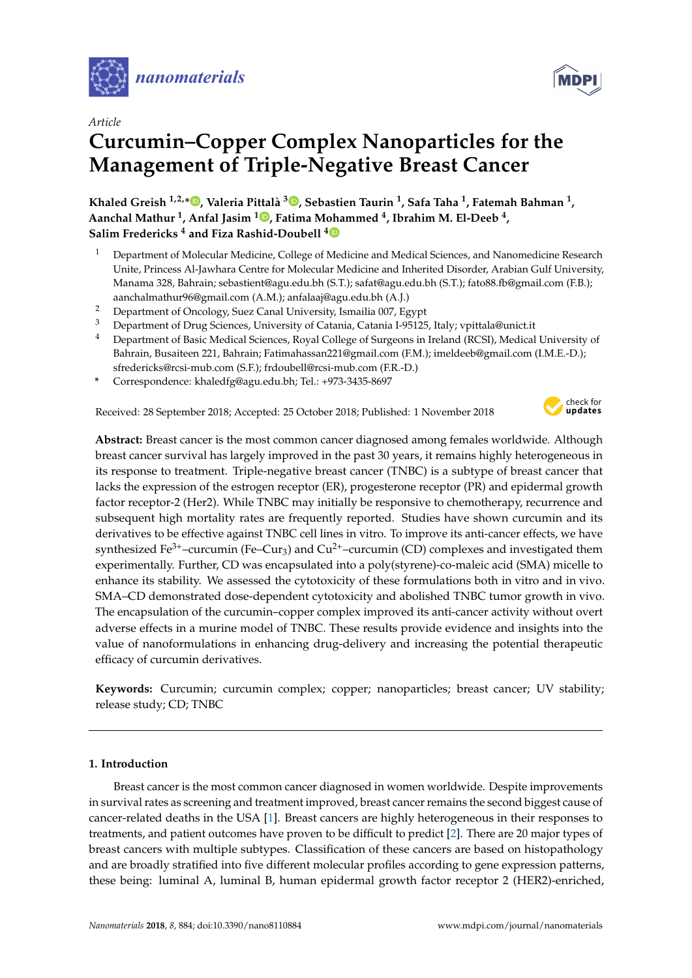

*Article*

# **Curcumin–Copper Complex Nanoparticles for the Management of Triple-Negative Breast Cancer**

**Khaled Greish 1,2,[\\*](https://orcid.org/0000-0002-0787-7070) , Valeria Pittalà 3 [,](https://orcid.org/0000-0003-1856-0308) Sebastien Taurin <sup>1</sup> , Safa Taha <sup>1</sup> , Fatemah Bahman <sup>1</sup> , Aanchal Mathur <sup>1</sup> , Anfal Jasim <sup>1</sup> [,](https://orcid.org/0000-0001-8537-5466) Fatima Mohammed <sup>4</sup> , Ibrahim M. El-Deeb <sup>4</sup> , Salim Fredericks <sup>4</sup> and Fiza Rashid-Doubell [4](https://orcid.org/0000-0002-2624-5888)**

- <sup>1</sup> Department of Molecular Medicine, College of Medicine and Medical Sciences, and Nanomedicine Research Unite, Princess Al-Jawhara Centre for Molecular Medicine and Inherited Disorder, Arabian Gulf University, Manama 328, Bahrain; sebastient@agu.edu.bh (S.T.); safat@agu.edu.bh (S.T.); fato88.fb@gmail.com (F.B.); aanchalmathur96@gmail.com (A.M.); anfalaaj@agu.edu.bh (A.J.)
- <sup>2</sup> Department of Oncology, Suez Canal University, Ismailia 007, Egypt
- <sup>3</sup> Department of Drug Sciences, University of Catania, Catania I-95125, Italy; vpittala@unict.it
- <sup>4</sup> Department of Basic Medical Sciences, Royal College of Surgeons in Ireland (RCSI), Medical University of Bahrain, Busaiteen 221, Bahrain; Fatimahassan221@gmail.com (F.M.); imeldeeb@gmail.com (I.M.E.-D.); sfredericks@rcsi-mub.com (S.F.); frdoubell@rcsi-mub.com (F.R.-D.)
- **\*** Correspondence: khaledfg@agu.edu.bh; Tel.: +973-3435-8697

Received: 28 September 2018; Accepted: 25 October 2018; Published: 1 November 2018



**Abstract:** Breast cancer is the most common cancer diagnosed among females worldwide. Although breast cancer survival has largely improved in the past 30 years, it remains highly heterogeneous in its response to treatment. Triple-negative breast cancer (TNBC) is a subtype of breast cancer that lacks the expression of the estrogen receptor (ER), progesterone receptor (PR) and epidermal growth factor receptor-2 (Her2). While TNBC may initially be responsive to chemotherapy, recurrence and subsequent high mortality rates are frequently reported. Studies have shown curcumin and its derivatives to be effective against TNBC cell lines in vitro. To improve its anti-cancer effects, we have synthesized Fe<sup>3+</sup>-curcumin (Fe-Cur<sub>3</sub>) and Cu<sup>2+</sup>-curcumin (CD) complexes and investigated them experimentally. Further, CD was encapsulated into a poly(styrene)-co-maleic acid (SMA) micelle to enhance its stability. We assessed the cytotoxicity of these formulations both in vitro and in vivo. SMA–CD demonstrated dose-dependent cytotoxicity and abolished TNBC tumor growth in vivo. The encapsulation of the curcumin–copper complex improved its anti-cancer activity without overt adverse effects in a murine model of TNBC. These results provide evidence and insights into the value of nanoformulations in enhancing drug-delivery and increasing the potential therapeutic efficacy of curcumin derivatives.

**Keywords:** Curcumin; curcumin complex; copper; nanoparticles; breast cancer; UV stability; release study; CD; TNBC

#### **1. Introduction**

Breast cancer is the most common cancer diagnosed in women worldwide. Despite improvements in survival rates as screening and treatment improved, breast cancer remains the second biggest cause of cancer-related deaths in the USA [\[1\]](#page-10-0). Breast cancers are highly heterogeneous in their responses to treatments, and patient outcomes have proven to be difficult to predict [\[2\]](#page-10-1). There are 20 major types of breast cancers with multiple subtypes. Classification of these cancers are based on histopathology and are broadly stratified into five different molecular profiles according to gene expression patterns, these being: luminal A, luminal B, human epidermal growth factor receptor 2 (HER2)-enriched,

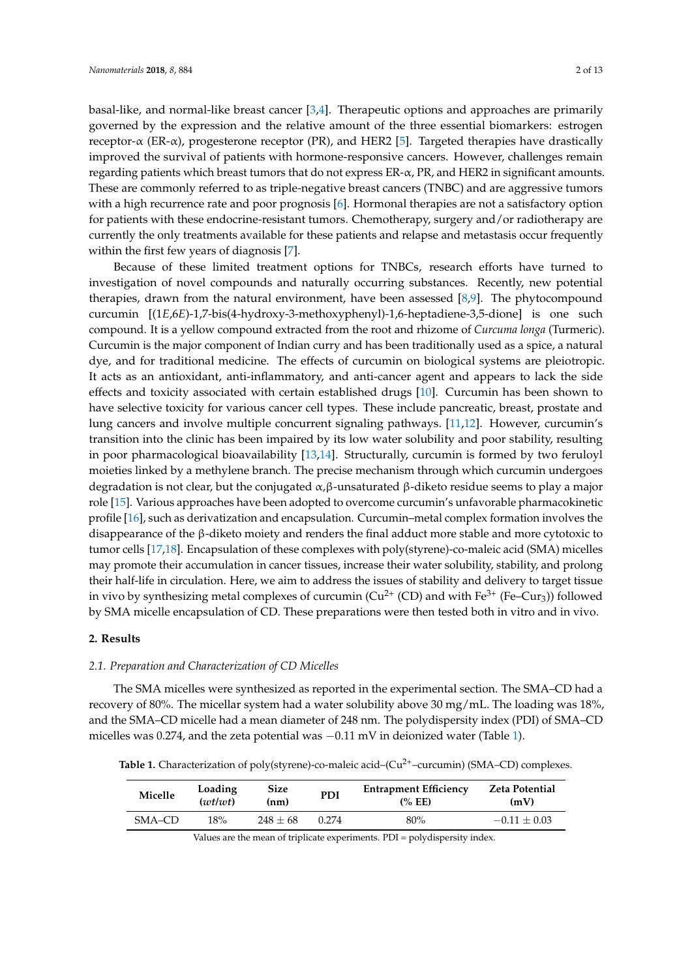basal-like, and normal-like breast cancer [\[3](#page-10-2)[,4\]](#page-10-3). Therapeutic options and approaches are primarily governed by the expression and the relative amount of the three essential biomarkers: estrogen receptor- $\alpha$  (ER- $\alpha$ ), progesterone receptor (PR), and HER2 [\[5\]](#page-10-4). Targeted therapies have drastically improved the survival of patients with hormone-responsive cancers. However, challenges remain regarding patients which breast tumors that do not express ER-α, PR, and HER2 in significant amounts. These are commonly referred to as triple-negative breast cancers (TNBC) and are aggressive tumors with a high recurrence rate and poor prognosis [\[6\]](#page-10-5). Hormonal therapies are not a satisfactory option for patients with these endocrine-resistant tumors. Chemotherapy, surgery and/or radiotherapy are currently the only treatments available for these patients and relapse and metastasis occur frequently within the first few years of diagnosis [\[7\]](#page-10-6).

Because of these limited treatment options for TNBCs, research efforts have turned to investigation of novel compounds and naturally occurring substances. Recently, new potential therapies, drawn from the natural environment, have been assessed [\[8](#page-11-0)[,9\]](#page-11-1). The phytocompound curcumin [(1*E*,6*E*)-1,7-bis(4-hydroxy-3-methoxyphenyl)-1,6-heptadiene-3,5-dione] is one such compound. It is a yellow compound extracted from the root and rhizome of *Curcuma longa* (Turmeric). Curcumin is the major component of Indian curry and has been traditionally used as a spice, a natural dye, and for traditional medicine. The effects of curcumin on biological systems are pleiotropic. It acts as an antioxidant, anti-inflammatory, and anti-cancer agent and appears to lack the side effects and toxicity associated with certain established drugs [\[10\]](#page-11-2). Curcumin has been shown to have selective toxicity for various cancer cell types. These include pancreatic, breast, prostate and lung cancers and involve multiple concurrent signaling pathways. [\[11](#page-11-3)[,12\]](#page-11-4). However, curcumin's transition into the clinic has been impaired by its low water solubility and poor stability, resulting in poor pharmacological bioavailability [\[13,](#page-11-5)[14\]](#page-11-6). Structurally, curcumin is formed by two feruloyl moieties linked by a methylene branch. The precise mechanism through which curcumin undergoes degradation is not clear, but the conjugated α,β-unsaturated β-diketo residue seems to play a major role [\[15\]](#page-11-7). Various approaches have been adopted to overcome curcumin's unfavorable pharmacokinetic profile [\[16\]](#page-11-8), such as derivatization and encapsulation. Curcumin–metal complex formation involves the disappearance of the β-diketo moiety and renders the final adduct more stable and more cytotoxic to tumor cells [\[17,](#page-11-9)[18\]](#page-11-10). Encapsulation of these complexes with poly(styrene)-co-maleic acid (SMA) micelles may promote their accumulation in cancer tissues, increase their water solubility, stability, and prolong their half-life in circulation. Here, we aim to address the issues of stability and delivery to target tissue in vivo by synthesizing metal complexes of curcumin ( $Cu^{2+}$  (CD) and with Fe<sup>3+</sup> (Fe–Cur<sub>3</sub>)) followed by SMA micelle encapsulation of CD. These preparations were then tested both in vitro and in vivo.

#### **2. Results**

#### *2.1. Preparation and Characterization of CD Micelles*

The SMA micelles were synthesized as reported in the experimental section. The SMA–CD had a recovery of 80%. The micellar system had a water solubility above 30 mg/mL. The loading was 18%, and the SMA–CD micelle had a mean diameter of 248 nm. The polydispersity index (PDI) of SMA–CD micelles was 0.274, and the zeta potential was  $-0.11$  mV in deionized water (Table [1\)](#page-1-0).

<span id="page-1-0"></span>**Table 1.** Characterization of poly(styrene)-co-maleic acid–(Cu<sup>2+</sup>–curcumin) (SMA–CD) complexes.

| Micelle | Loading<br>(wt/wt) | Size<br>(nm) | <b>PDI</b> | <b>Entrapment Efficiency</b><br>(%EE) | <b>Zeta Potential</b><br>(mV) |
|---------|--------------------|--------------|------------|---------------------------------------|-------------------------------|
| SMA-CD  | 18%                | $248 + 68$   | 0.274      | 80%                                   | $-0.11 + 0.03$                |

Values are the mean of triplicate experiments. PDI = polydispersity index.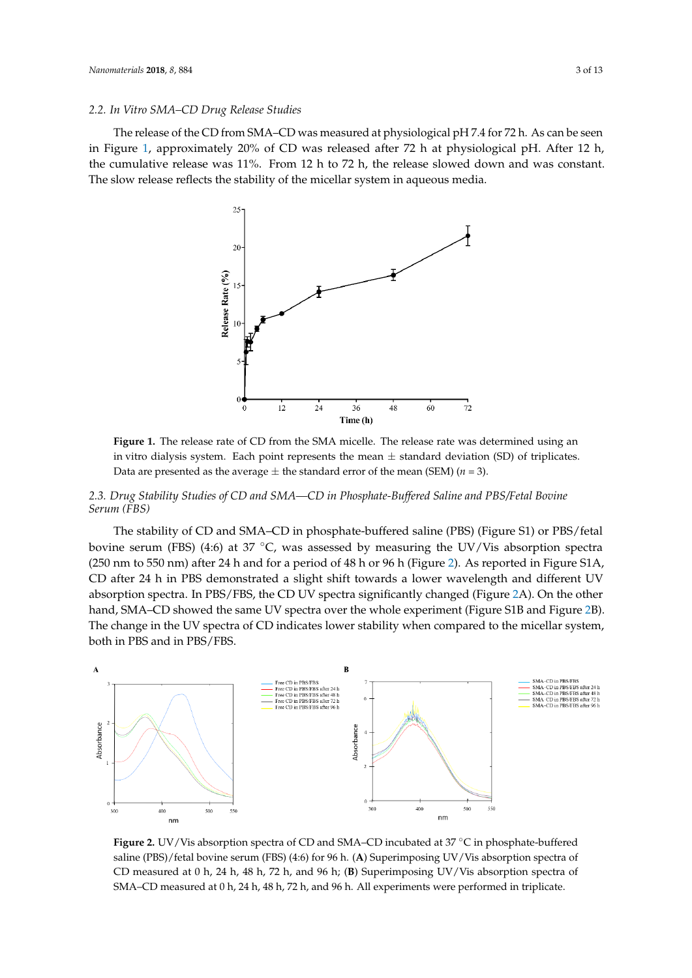#### 2.2. In Vitro SMA–CD Drug Release Studies

The release of the CD from SMA–CD was measured at physiological pH 7.4 for 72 h. As can be seen in Figure [1,](#page-2-0) approximately 20% of CD was released after 72 h at physiological pH. After 12 h, the cumulative release was 11%. From 12 h to 72 h, the release slowed down and was constant. The slow release reflects the stability of the micellar system in aqueous media.  $\mathbb{R}$ s release reflects  $\mathbb{C}$  the stability of the microscopy in a properties in a  $\mathbb{R}$ 

<span id="page-2-0"></span>

Figure 1. The release rate of CD from the SMA micelle. The release rate was determined using an in vitro dialysis system. Each point represents the mean  $\pm$  standard deviation (SD) of triplicates. Data are presented as the average  $\pm$  the standard error of the mean (SEM) ( $n = 3$ ).

## <span id="page-2-2"></span>2.3. Drug Stability Studies of CD and SMA—CD in Phosphate-Buffered Saline and PBS/Fetal Bovine *(FBS) Serum (FBS) (FBS)*

The stability of CD and SMA-CD in phosphate-buffered saline (PBS) (Figure S1) or PBS/fetal bovine serum (FBS) (4:6) at 37 °C, was assessed by measuring the UV/Vis absorption spectra (250 nm to 550 nm) after 24 h and for a period of 48 h or 96 h (Figure [2\)](#page-2-1). As reported in Figure S1A, CD after 24 h in PBS demonstrated a slight shift towards a lower wavelength and different UV absorption spectra. In PBS/FBS, t[he](#page-2-1) CD UV spectra significantly changed (Figure 2A). On the other hand, SMA-CD showed the same UV spectra over the whole experiment (Figure S1B and Figure [2B](#page-2-1)). The change in the UV spectra of CD indicates lower stability when compared to the micellar system, both in PBS and in PBS/FBS.

<span id="page-2-1"></span>

 $\mathbf{S}$  PBS)/ $N/N$ is absorption spectra of CD and SMA. CD incubated at 27 °C in phosphate buffer saline (PBS)/fetal bovine serum (FBS) (4:6) for 96 h. (A) Superimposing UV/Vis absorption spectra of CD measured at 0 h, 24 h, 48 h, 72 h, and 96 h; (B) Superimposing UV/Vis absorption spectra of *2.4. CD Interaction with Plasma Proteins* **Figure 2.** UV/Vis absorption spectra of CD and SMA–CD incubated at 37 °C in phosphate-buffered **in property of the contract of CD** and SMA–CD incubated at 37 °C in phosphate-buffered CD measured at 0 h, 48 h, 72 h, 48 h, 72 h, 48 h, 72 h, 72 h, 72 h, 72 h, 72 h, 72 h, 72 h, 72 h, 72 h, 72 h, 72 h, 72 h, 72 h, 72 h, 72 h, 72 h, 72 h, 72 h, 72 h, 72 h, 72 h, 72 h, 72 h, 72 h, 72 h, 72 h, 72 h, 72 h, 72 h CD measured at 0 h, 24 h, 48 h, 72 h, and 96 h. All experiments were performed in triplicate. SMA–CD measured at 0 h, 24 h, 48 h, 72 h, and 96 h. All experiments were performed in triplicate.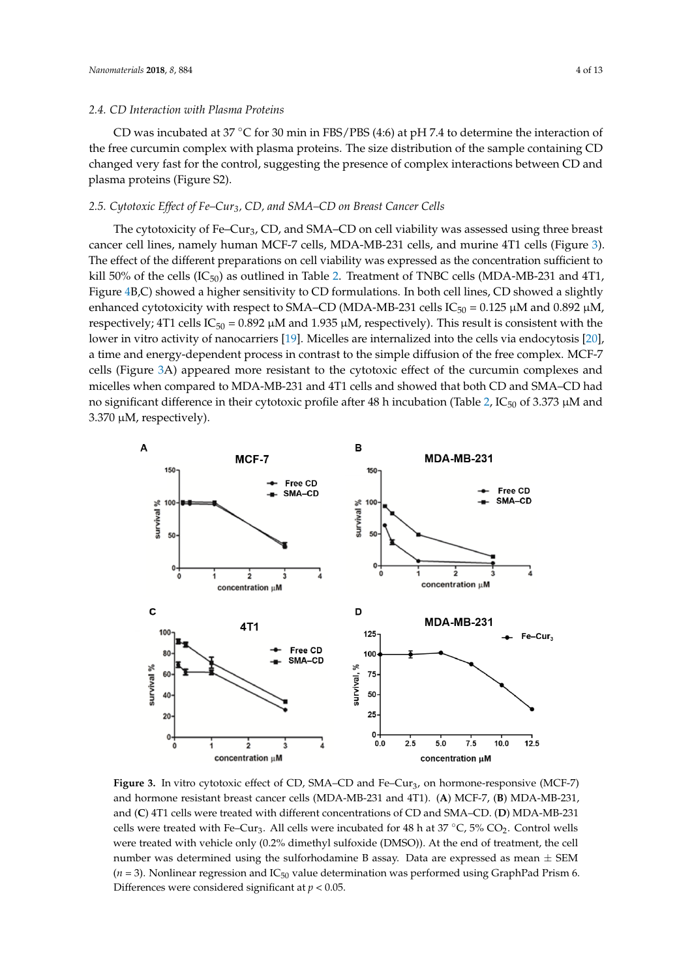CD was incubated at 37 °C for 30 min in FBS/PBS (4:6) at pH 7.4 to determine the interaction of the free curcumin complex with plasma proteins. The size distribution of the sample containing CD changed very fast for the control, suggesting the presence of complex interactions between CD and plasma proteins (Figure S2).

### 2.5. Cytotoxic Effect of Fe–Cur<sub>3</sub>, CD, and SMA–CD on Breast Cancer Cells  $\overline{3}$

The cytotoxicity of Fe–Cur3, CD, and SMA–CD on cell viability was assessed using three breast cancer cell lines, namely human MCF-7 cells, MDA-MB-231 cells, and murine 4T1 cells (Figure [3\)](#page-3-0).<br>The client of the different remainding on all sightly green suggested to the concentration of Grinal to The effect of the different preparations on cell viability was expressed as the concentration sufficient to kill 50% of the cells  $(IC_{50})$  as outlined in Table [2.](#page-4-0) Treatment of TNBC cells (MDA-MB-231 and 4T1, Figure [4B](#page-4-1),C) showed a higher sensitivity to CD formulations. In both cell lines, CD showed a slightly enhanced cytotoxicity with respect to SMA–CD (MDA-MB-231 cells IC<sub>50</sub> = 0.125  $\mu$ M and 0.892  $\mu$ M, respectively; 4T1 cells  $IC_{50} = 0.892 \mu M$  and 1.935  $\mu M$ , respectively). This result is consistent with the lower in vitro activity of nanocarriers [19]. Micelles are internalized into the cells via endocytosis [\[20\]](#page-11-12), a time and energy-dependent process in contrast to the simple diffusion of the free complex. MCF-7 cells (Figure [3A](#page-3-0)) appeared more resistant to the cytotoxic effect of the curcumin complexes and micelles when compared to MDA-MB-231 and 4T1 cells and showed that both CD and SMA–CD had no significant difference in their cytotoxic profile after 48 h incubation (Table [2,](#page-4-0) IC<sub>50</sub> of 3.373  $\mu$ M and  $3.370 \mu$ M, respectively).

<span id="page-3-0"></span>

and hormone resistant breast cancer cells (MDA-MB-231 and 4T1). (A) MCF-7, (B) MDA-MB-231, and (C) 4T1 cells were treated with different concentrations of CD and SMA–CD. (D) MDA-MB-231 cells were treated with Fe–Cur<sub>3</sub>. All cells were incubated for 48 h at 37 °C, 5% CO<sub>2</sub>. Control wells **Figure 3.** In vitro cytotoxic effect of CD, SMA–CD and Fe–Cur<sub>3</sub>, on hormone-responsive (MCF-7) were treated with vehicle only (0.2% dimethyl sulfoxide (DMSO)). At the end of treatment, the cell number was determined using the sulforhodamine B assay. Data are expressed as mean  $\pm$  SEM  $(n=3)$ . Nonlinear regression and IC<sub>50</sub> value determination was performed using GraphPad Prism 6. Differences were considered significant at *p* < 0.05.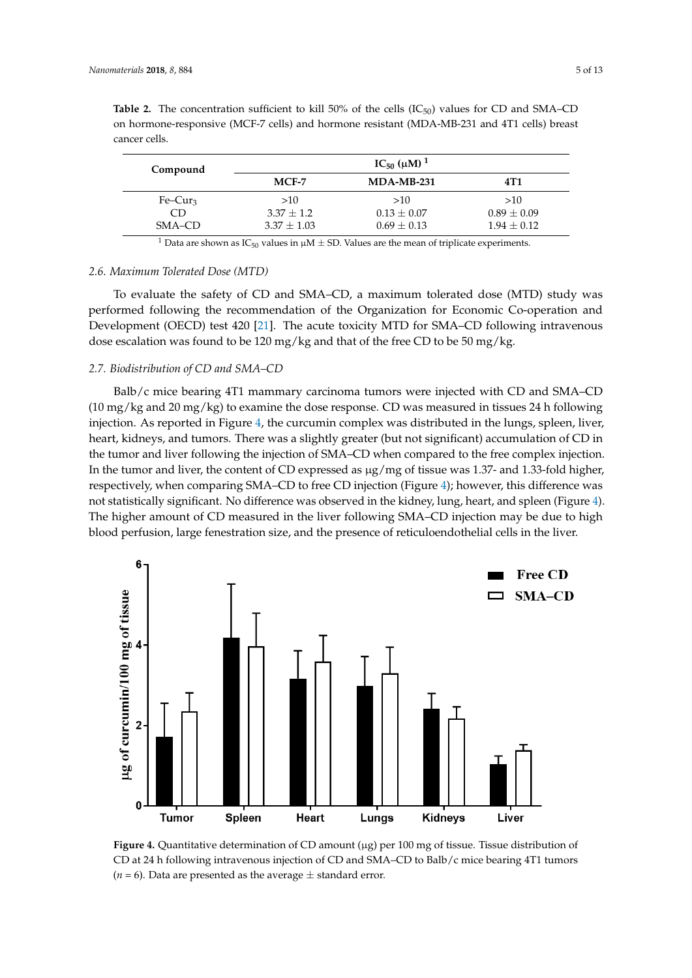| Compound  | $IC_{50}$ ( $\mu$ M) <sup>1</sup> |                 |                 |  |
|-----------|-----------------------------------|-----------------|-----------------|--|
|           | MCF-7                             | $MDA-MB-231$    | 4T1             |  |
| $Fe-Cur3$ | >10                               | >10             | >10             |  |
| CD        | $3.37 \pm 1.2$                    | $0.13 \pm 0.07$ | $0.89 \pm 0.09$ |  |
| SMA-CD    | $3.37 \pm 1.03$                   | $0.69 \pm 0.13$ | $1.94 \pm 0.12$ |  |

<span id="page-4-0"></span>**Table 2.** The concentration sufficient to kill 50% of the cells  $(IC_{50})$  values for CD and SMA–CD on hormone-responsive (MCF-7 cells) and hormone resistant (MDA-MB-231 and 4T1 cells) breast cancer cells. determined using the substitute are expressed as  $\alpha$  and  $\alpha$  are expressed as  $\alpha$ . Nonelinear  $\alpha$ 

<sup>1</sup> Data are shown as IC<sub>50</sub> values in  $\mu$ M  $\pm$  SD. Values are the mean of triplicate experiments.

#### 2.6. Maximum Tolerated Dose (MTD) **For SMA–CD for SMA–CD for SMA**–CD for SMA–CD for SMA–CD for SMA–CD for SMA–CD for SMA–CD for SMA–CD for SMA–CD for SMA–CD for SMA–CD for SMA–CD for SMA–CD for SMA–CD for SMA–CD for SMA–CD

To evaluate the safety of CD and SMA-CD, a maximum tolerated dose (MTD) study was performed following the recommendation of the Organization for Economic Co-operation and Development (OE[CD](#page-11-13)) test 420 [21]. The acute toxicity MTD for SMA–CD following intravenous dose escalation was found to be 120 mg/kg and that of the free CD to be 50 mg/kg.

#### *2.7. Biodistribution of CD and SMA–CD* was measured in tight does response. CD was measured in the dose response.

Balb/c mice bearing 4T1 mammary carcinoma tumors were injected with CD and SMA–CD (10 mg/kg and 20 mg/kg) to examine the dose response. CD was measured in tissues 24 h following i[nje](#page-4-1)ction. As reported in Figure 4, the curcumin complex was distributed in the lungs, spleen, liver, heart, kidneys, and tumors. There was a slightly greater (but not significant) accumulation of CD in the tumor and liver following the injection of SMA–CD when compared to the free complex injection. In the tumor and liver, the content of CD expressed as  $\mu$ g/mg of tissue was 1.37- and 1.33-fold higher, respectively, when comparing SMA–CD to free CD injection (Figure [4\)](#page-4-1); however, this difference was not statistically significant. No difference was observed in the kidney, lung, heart, and spleen (Figure [4\)](#page-4-1). The higher amount of CD measured in the liver following SMA–CD injection may be due to high blood perfusion, large fenestration size, and the presence of reticuloendothelial cells in the liver.

<span id="page-4-1"></span>

CD at 24 h following intravenous injection of CD and SMA–CD to Balb/c mice bearing 4T1 tumors  $(n = 6)$ . Data are presented as the average  $\pm$  standard error. **Figure 4.** Quantitative determination of CD amount (µg) per 100 mg of tissue. Tissue distribution of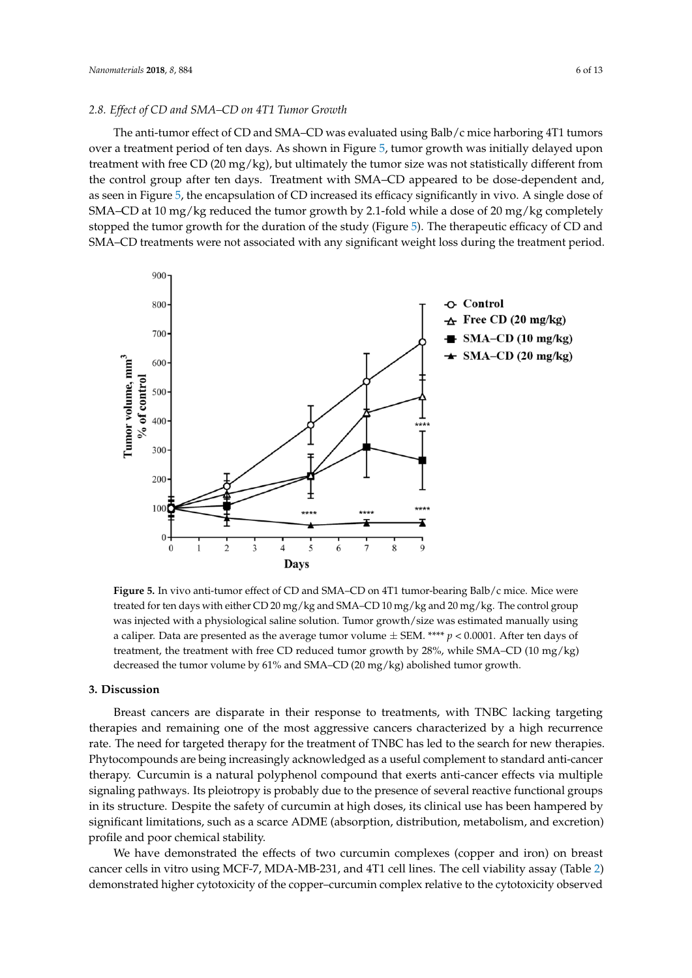#### *2.8. Effect of CD and SMA–CD on 4T1 Tumor Growth*

The anti-tumor effect of CD and SMA–CD was evaluated using Balb/c mice harboring 4T1 tumors over a treatment period of ten days. As shown in Figure 5, tumor growth was initially delayed upon treatment with free CD (20 mg/kg), but ultimately the tumor size was not statistically different from the control group after ten days. Treatment with SMA–CD appeared to be dose-dependent and, as seen in Figure [5,](#page-5-0) the encapsulation of CD increased its efficacy significantly in vivo. A single dose of SMA–CD at 10 mg/kg reduced the tumor growth by 2.1-fold while a dose of 20 mg/kg completely stopped the tumor growth for the duration of the study (Figure [5\)](#page-5-0). The therapeutic efficacy of CD and SMA–CD treatments were not associated with any significant weight loss during the treatment period.

<span id="page-5-0"></span>

was injected with a physiological saline solution. Tumor growth/size was estimated manually using a caliper. Data are presented as the average tumor volume  $\pm$  SEM. \*\*\*\* *p* < 0.0001. After ten days of decreased the tumor volume by 61% and SMA–CD (20 mg/kg) abolished tumor growth. **Figure 5.** In vivo anti-tumor effect of CD and SMA–CD on 4T1 tumor-bearing Balb/c mice. Mice were treated for ten days with either CD 20 mg/kg and SMA–CD 10 mg/kg and 20 mg/kg. The control group treatment, the treatment with free CD reduced tumor growth by 28%, while SMA–CD (10 mg/kg)

#### a caliper. Data are presented as the average tumor volume ± SEM. \*\*\*\* *p* < 0.0001. After ten days of **3. Discussion**

 $t$ reatment, the treatment, the treatment with free  $C$  reduced tumor growth by  $28$  mg/kg), while  $\Delta$ Breast cancers are disparate in their response to treatments, with TNBC lacking targeting<br>the major growth. The mast corresponse the magnetic disponsional tumor high resumes **3. Discussion** signaling pathways. Its pleiotropy is probably due to the presence of several reactive functional groups in its structure. Despite the safety of curcumin at high doses, its clinical use has been hampered by significant limitations, such as a scarce ADME (absorption, distribution, metabolism, and excretion)<br>such as a search search stability therapies and remaining one of the most aggressive cancers characterized by a high recurrence rate. The need for targeted therapy for the treatment of TNBC has led to the search for new therapies. Phytocompounds are being increasingly acknowledged as a useful complement to standard anti-cancer therapy. Curcumin is a natural polyphenol compound that exerts anti-cancer effects via multiple profile and poor chemical stability.

We have demonstrated the effects of two curcumin complexes (copper and iron) on breast canc[er](#page-4-0) cells in vitro using MCF-7, MDA-MB-231, and 4T1 cell lines. The cell viability assay (Table 2) demonstrated higher cytotoxicity of the copper–curcumin complex relative to the cytotoxicity observed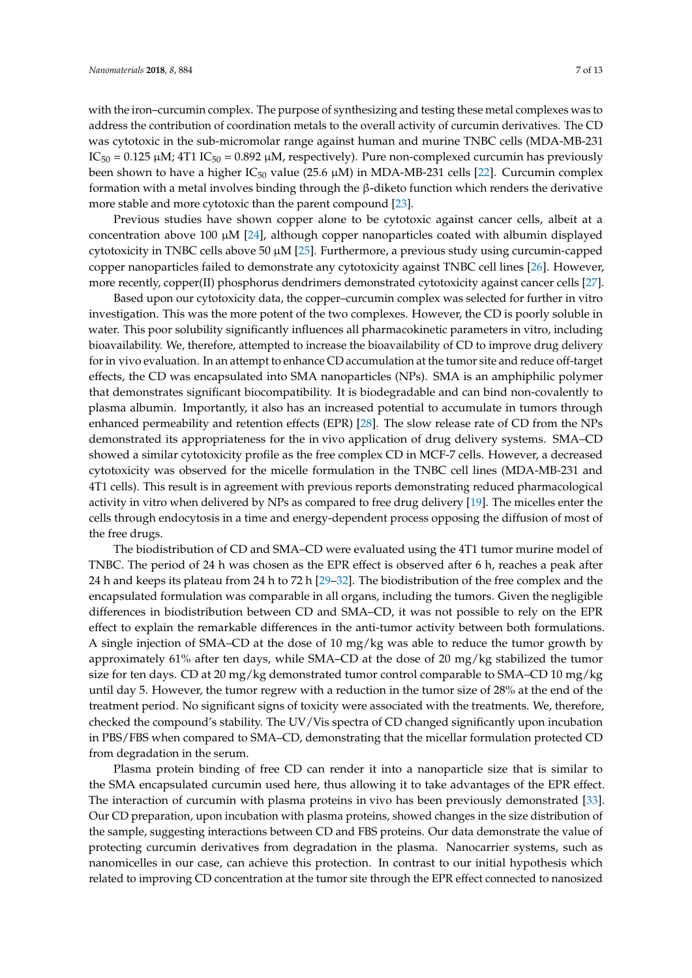with the iron–curcumin complex. The purpose of synthesizing and testing these metal complexes was to address the contribution of coordination metals to the overall activity of curcumin derivatives. The CD was cytotoxic in the sub-micromolar range against human and murine TNBC cells (MDA-MB-231  $IC_{50} = 0.125 \mu M$ ; 4T1  $IC_{50} = 0.892 \mu M$ , respectively). Pure non-complexed curcumin has previously been shown to have a higher  $IC_{50}$  value (25.6  $\mu$ M) in MDA-MB-231 cells [\[22\]](#page-11-14). Curcumin complex formation with a metal involves binding through the β-diketo function which renders the derivative more stable and more cytotoxic than the parent compound [\[23\]](#page-11-15).

Previous studies have shown copper alone to be cytotoxic against cancer cells, albeit at a concentration above 100  $\mu$ M [\[24\]](#page-11-16), although copper nanoparticles coated with albumin displayed cytotoxicity in TNBC cells above 50 µM [\[25\]](#page-11-17). Furthermore, a previous study using curcumin-capped copper nanoparticles failed to demonstrate any cytotoxicity against TNBC cell lines [\[26\]](#page-11-18). However, more recently, copper(II) phosphorus dendrimers demonstrated cytotoxicity against cancer cells [\[27\]](#page-11-19).

Based upon our cytotoxicity data, the copper–curcumin complex was selected for further in vitro investigation. This was the more potent of the two complexes. However, the CD is poorly soluble in water. This poor solubility significantly influences all pharmacokinetic parameters in vitro, including bioavailability. We, therefore, attempted to increase the bioavailability of CD to improve drug delivery for in vivo evaluation. In an attempt to enhance CD accumulation at the tumor site and reduce off-target effects, the CD was encapsulated into SMA nanoparticles (NPs). SMA is an amphiphilic polymer that demonstrates significant biocompatibility. It is biodegradable and can bind non-covalently to plasma albumin. Importantly, it also has an increased potential to accumulate in tumors through enhanced permeability and retention effects (EPR) [\[28\]](#page-11-20). The slow release rate of CD from the NPs demonstrated its appropriateness for the in vivo application of drug delivery systems. SMA–CD showed a similar cytotoxicity profile as the free complex CD in MCF-7 cells. However, a decreased cytotoxicity was observed for the micelle formulation in the TNBC cell lines (MDA-MB-231 and 4T1 cells). This result is in agreement with previous reports demonstrating reduced pharmacological activity in vitro when delivered by NPs as compared to free drug delivery [\[19\]](#page-11-11). The micelles enter the cells through endocytosis in a time and energy-dependent process opposing the diffusion of most of the free drugs.

The biodistribution of CD and SMA–CD were evaluated using the 4T1 tumor murine model of TNBC. The period of 24 h was chosen as the EPR effect is observed after 6 h, reaches a peak after 24 h and keeps its plateau from 24 h to 72 h [\[29–](#page-12-0)[32\]](#page-12-1). The biodistribution of the free complex and the encapsulated formulation was comparable in all organs, including the tumors. Given the negligible differences in biodistribution between CD and SMA–CD, it was not possible to rely on the EPR effect to explain the remarkable differences in the anti-tumor activity between both formulations. A single injection of SMA–CD at the dose of 10 mg/kg was able to reduce the tumor growth by approximately 61% after ten days, while SMA–CD at the dose of 20 mg/kg stabilized the tumor size for ten days. CD at 20 mg/kg demonstrated tumor control comparable to SMA–CD 10 mg/kg until day 5. However, the tumor regrew with a reduction in the tumor size of 28% at the end of the treatment period. No significant signs of toxicity were associated with the treatments. We, therefore, checked the compound's stability. The UV/Vis spectra of CD changed significantly upon incubation in PBS/FBS when compared to SMA–CD, demonstrating that the micellar formulation protected CD from degradation in the serum.

Plasma protein binding of free CD can render it into a nanoparticle size that is similar to the SMA encapsulated curcumin used here, thus allowing it to take advantages of the EPR effect. The interaction of curcumin with plasma proteins in vivo has been previously demonstrated [\[33\]](#page-12-2). Our CD preparation, upon incubation with plasma proteins, showed changes in the size distribution of the sample, suggesting interactions between CD and FBS proteins. Our data demonstrate the value of protecting curcumin derivatives from degradation in the plasma. Nanocarrier systems, such as nanomicelles in our case, can achieve this protection. In contrast to our initial hypothesis which related to improving CD concentration at the tumor site through the EPR effect connected to nanosized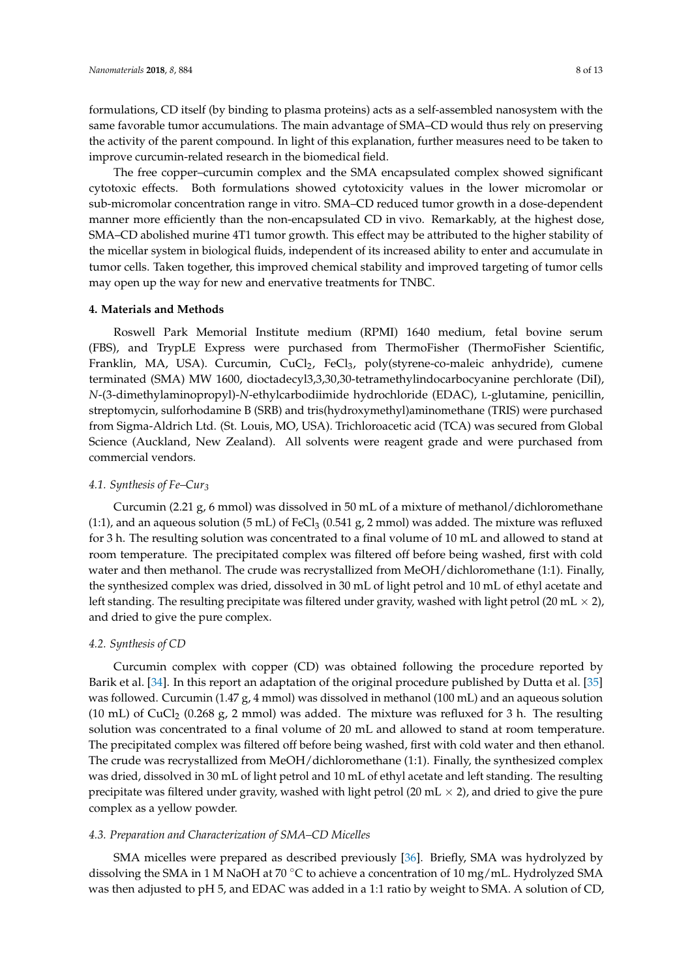formulations, CD itself (by binding to plasma proteins) acts as a self-assembled nanosystem with the same favorable tumor accumulations. The main advantage of SMA–CD would thus rely on preserving the activity of the parent compound. In light of this explanation, further measures need to be taken to improve curcumin-related research in the biomedical field.

The free copper–curcumin complex and the SMA encapsulated complex showed significant cytotoxic effects. Both formulations showed cytotoxicity values in the lower micromolar or sub-micromolar concentration range in vitro. SMA–CD reduced tumor growth in a dose-dependent manner more efficiently than the non-encapsulated CD in vivo. Remarkably, at the highest dose, SMA–CD abolished murine 4T1 tumor growth. This effect may be attributed to the higher stability of the micellar system in biological fluids, independent of its increased ability to enter and accumulate in tumor cells. Taken together, this improved chemical stability and improved targeting of tumor cells may open up the way for new and enervative treatments for TNBC.

#### **4. Materials and Methods**

Roswell Park Memorial Institute medium (RPMI) 1640 medium, fetal bovine serum (FBS), and TrypLE Express were purchased from ThermoFisher (ThermoFisher Scientific, Franklin, MA, USA). Curcumin, CuCl<sub>2</sub>, FeCl<sub>3</sub>, poly(styrene-co-maleic anhydride), cumene terminated (SMA) MW 1600, dioctadecyl3,3,30,30-tetramethylindocarbocyanine perchlorate (DiI), *N*-(3-dimethylaminopropyl)-*N*-ethylcarbodiimide hydrochloride (EDAC), L-glutamine, penicillin, streptomycin, sulforhodamine B (SRB) and tris(hydroxymethyl)aminomethane (TRIS) were purchased from Sigma-Aldrich Ltd. (St. Louis, MO, USA). Trichloroacetic acid (TCA) was secured from Global Science (Auckland, New Zealand). All solvents were reagent grade and were purchased from commercial vendors.

#### *4.1. Synthesis of Fe–Cur<sup>3</sup>*

Curcumin (2.21 g, 6 mmol) was dissolved in 50 mL of a mixture of methanol/dichloromethane  $(1:1)$ , and an aqueous solution  $(5 \text{ mL})$  of FeCl<sub>3</sub>  $(0.541 \text{ g}, 2 \text{ mmol})$  was added. The mixture was refluxed for 3 h. The resulting solution was concentrated to a final volume of 10 mL and allowed to stand at room temperature. The precipitated complex was filtered off before being washed, first with cold water and then methanol. The crude was recrystallized from MeOH/dichloromethane (1:1). Finally, the synthesized complex was dried, dissolved in 30 mL of light petrol and 10 mL of ethyl acetate and left standing. The resulting precipitate was filtered under gravity, washed with light petrol (20 mL  $\times$  2), and dried to give the pure complex.

#### *4.2. Synthesis of CD*

Curcumin complex with copper (CD) was obtained following the procedure reported by Barik et al. [\[34\]](#page-12-3). In this report an adaptation of the original procedure published by Dutta et al. [\[35\]](#page-12-4) was followed. Curcumin (1.47 g, 4 mmol) was dissolved in methanol (100 mL) and an aqueous solution (10 mL) of CuCl<sub>2</sub> (0.268 g, 2 mmol) was added. The mixture was refluxed for 3 h. The resulting solution was concentrated to a final volume of 20 mL and allowed to stand at room temperature. The precipitated complex was filtered off before being washed, first with cold water and then ethanol. The crude was recrystallized from MeOH/dichloromethane (1:1). Finally, the synthesized complex was dried, dissolved in 30 mL of light petrol and 10 mL of ethyl acetate and left standing. The resulting precipitate was filtered under gravity, washed with light petrol  $(20 \text{ mL} \times 2)$ , and dried to give the pure complex as a yellow powder.

#### *4.3. Preparation and Characterization of SMA–CD Micelles*

SMA micelles were prepared as described previously [\[36\]](#page-12-5). Briefly, SMA was hydrolyzed by dissolving the SMA in 1 M NaOH at 70 ◦C to achieve a concentration of 10 mg/mL. Hydrolyzed SMA was then adjusted to pH 5, and EDAC was added in a 1:1 ratio by weight to SMA. A solution of CD,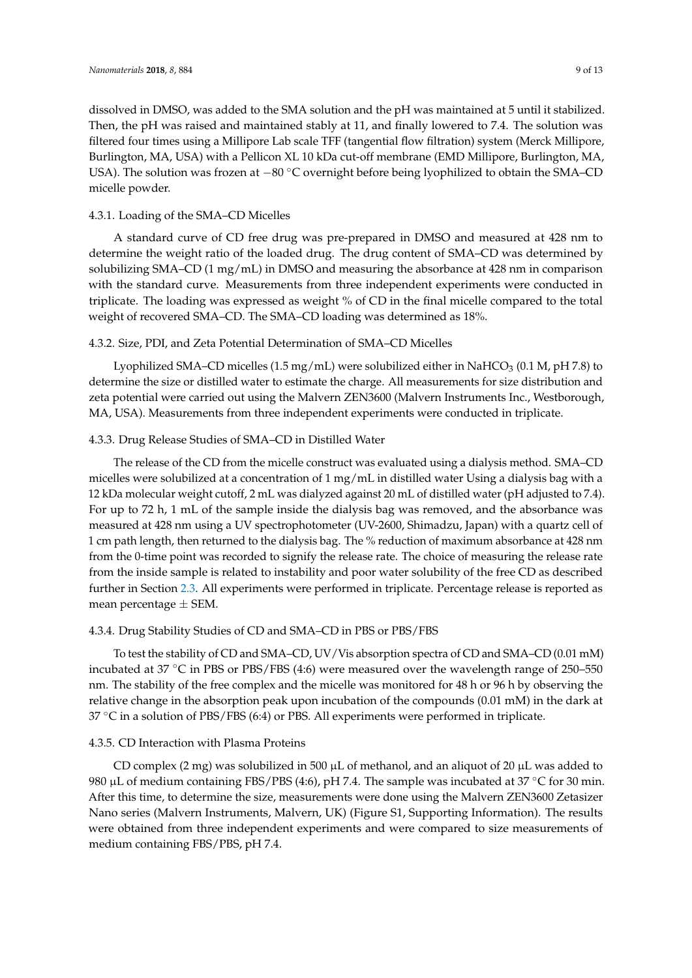dissolved in DMSO, was added to the SMA solution and the pH was maintained at 5 until it stabilized. Then, the pH was raised and maintained stably at 11, and finally lowered to 7.4. The solution was filtered four times using a Millipore Lab scale TFF (tangential flow filtration) system (Merck Millipore, Burlington, MA, USA) with a Pellicon XL 10 kDa cut-off membrane (EMD Millipore, Burlington, MA, USA). The solution was frozen at −80 °C overnight before being lyophilized to obtain the SMA–CD micelle powder.

#### 4.3.1. Loading of the SMA–CD Micelles

A standard curve of CD free drug was pre-prepared in DMSO and measured at 428 nm to determine the weight ratio of the loaded drug. The drug content of SMA–CD was determined by solubilizing SMA–CD (1 mg/mL) in DMSO and measuring the absorbance at 428 nm in comparison with the standard curve. Measurements from three independent experiments were conducted in triplicate. The loading was expressed as weight % of CD in the final micelle compared to the total weight of recovered SMA–CD. The SMA–CD loading was determined as 18%.

#### 4.3.2. Size, PDI, and Zeta Potential Determination of SMA–CD Micelles

Lyophilized SMA–CD micelles (1.5 mg/mL) were solubilized either in NaHCO<sub>3</sub> (0.1 M, pH 7.8) to determine the size or distilled water to estimate the charge. All measurements for size distribution and zeta potential were carried out using the Malvern ZEN3600 (Malvern Instruments Inc., Westborough, MA, USA). Measurements from three independent experiments were conducted in triplicate.

#### 4.3.3. Drug Release Studies of SMA–CD in Distilled Water

The release of the CD from the micelle construct was evaluated using a dialysis method. SMA–CD micelles were solubilized at a concentration of 1 mg/mL in distilled water Using a dialysis bag with a 12 kDa molecular weight cutoff, 2 mL was dialyzed against 20 mL of distilled water (pH adjusted to 7.4). For up to 72 h, 1 mL of the sample inside the dialysis bag was removed, and the absorbance was measured at 428 nm using a UV spectrophotometer (UV-2600, Shimadzu, Japan) with a quartz cell of 1 cm path length, then returned to the dialysis bag. The % reduction of maximum absorbance at 428 nm from the 0-time point was recorded to signify the release rate. The choice of measuring the release rate from the inside sample is related to instability and poor water solubility of the free CD as described further in Section [2.3.](#page-2-2) All experiments were performed in triplicate. Percentage release is reported as mean percentage  $\pm$  SEM.

#### 4.3.4. Drug Stability Studies of CD and SMA–CD in PBS or PBS/FBS

To test the stability of CD and SMA–CD, UV/Vis absorption spectra of CD and SMA–CD (0.01 mM) incubated at 37 ◦C in PBS or PBS/FBS (4:6) were measured over the wavelength range of 250–550 nm. The stability of the free complex and the micelle was monitored for 48 h or 96 h by observing the relative change in the absorption peak upon incubation of the compounds (0.01 mM) in the dark at 37 ◦C in a solution of PBS/FBS (6:4) or PBS. All experiments were performed in triplicate.

#### 4.3.5. CD Interaction with Plasma Proteins

CD complex (2 mg) was solubilized in 500  $\mu$ L of methanol, and an aliquot of 20  $\mu$ L was added to 980 µL of medium containing FBS/PBS (4:6), pH 7.4. The sample was incubated at 37 °C for 30 min. After this time, to determine the size, measurements were done using the Malvern ZEN3600 Zetasizer Nano series (Malvern Instruments, Malvern, UK) (Figure S1, Supporting Information). The results were obtained from three independent experiments and were compared to size measurements of medium containing FBS/PBS, pH 7.4.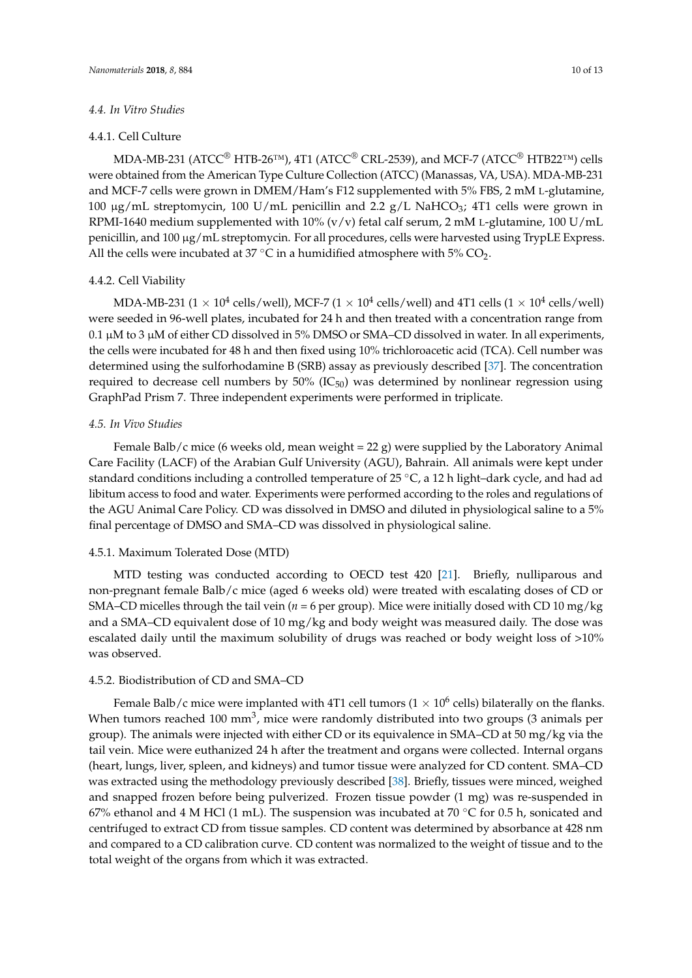#### *4.4. In Vitro Studies*

#### 4.4.1. Cell Culture

MDA-MB-231 (ATCC<sup>®</sup> HTB-26<sup>™</sup>), 4T1 (ATCC<sup>®</sup> CRL-2539), and MCF-7 (ATCC<sup>®</sup> HTB22<sup>™</sup>) cells were obtained from the American Type Culture Collection (ATCC) (Manassas, VA, USA). MDA-MB-231 and MCF-7 cells were grown in DMEM/Ham's F12 supplemented with 5% FBS, 2 mM L-glutamine, 100  $\mu$ g/mL streptomycin, 100 U/mL penicillin and 2.2 g/L NaHCO<sub>3</sub>; 4T1 cells were grown in RPMI-1640 medium supplemented with 10% (v/v) fetal calf serum, 2 mM L-glutamine, 100 U/mL penicillin, and  $100 \mu g/mL$  streptomycin. For all procedures, cells were harvested using TrypLE Express. All the cells were incubated at 37 °C in a humidified atmosphere with 5%  $CO<sub>2</sub>$ .

#### 4.4.2. Cell Viability

MDA-MB-231 (1  $\times$  10 $^{4}$  cells/well), MCF-7 (1  $\times$  10 $^{4}$  cells/well) and 4T1 cells (1  $\times$  10 $^{4}$  cells/well) were seeded in 96-well plates, incubated for 24 h and then treated with a concentration range from 0.1  $\mu$ M to 3  $\mu$ M of either CD dissolved in 5% DMSO or SMA–CD dissolved in water. In all experiments, the cells were incubated for 48 h and then fixed using 10% trichloroacetic acid (TCA). Cell number was determined using the sulforhodamine B (SRB) assay as previously described [\[37\]](#page-12-6). The concentration required to decrease cell numbers by  $50\%$  (IC<sub>50</sub>) was determined by nonlinear regression using GraphPad Prism 7. Three independent experiments were performed in triplicate.

#### *4.5. In Vivo Studies*

Female Balb/c mice (6 weeks old, mean weight  $= 22$  g) were supplied by the Laboratory Animal Care Facility (LACF) of the Arabian Gulf University (AGU), Bahrain. All animals were kept under standard conditions including a controlled temperature of 25  $\degree$ C, a 12 h light–dark cycle, and had ad libitum access to food and water. Experiments were performed according to the roles and regulations of the AGU Animal Care Policy. CD was dissolved in DMSO and diluted in physiological saline to a 5% final percentage of DMSO and SMA–CD was dissolved in physiological saline.

#### 4.5.1. Maximum Tolerated Dose (MTD)

MTD testing was conducted according to OECD test 420 [\[21\]](#page-11-13). Briefly, nulliparous and non-pregnant female Balb/c mice (aged 6 weeks old) were treated with escalating doses of CD or SMA–CD micelles through the tail vein ( $n = 6$  per group). Mice were initially dosed with CD 10 mg/kg and a SMA–CD equivalent dose of 10 mg/kg and body weight was measured daily. The dose was escalated daily until the maximum solubility of drugs was reached or body weight loss of >10% was observed.

#### 4.5.2. Biodistribution of CD and SMA–CD

Female Balb/c mice were implanted with 4T1 cell tumors (1  $\times$  10<sup>6</sup> cells) bilaterally on the flanks. When tumors reached 100 mm<sup>3</sup>, mice were randomly distributed into two groups (3 animals per group). The animals were injected with either CD or its equivalence in SMA–CD at 50 mg/kg via the tail vein. Mice were euthanized 24 h after the treatment and organs were collected. Internal organs (heart, lungs, liver, spleen, and kidneys) and tumor tissue were analyzed for CD content. SMA–CD was extracted using the methodology previously described [\[38\]](#page-12-7). Briefly, tissues were minced, weighed and snapped frozen before being pulverized. Frozen tissue powder (1 mg) was re-suspended in 67% ethanol and 4 M HCl (1 mL). The suspension was incubated at 70 °C for 0.5 h, sonicated and centrifuged to extract CD from tissue samples. CD content was determined by absorbance at 428 nm and compared to a CD calibration curve. CD content was normalized to the weight of tissue and to the total weight of the organs from which it was extracted.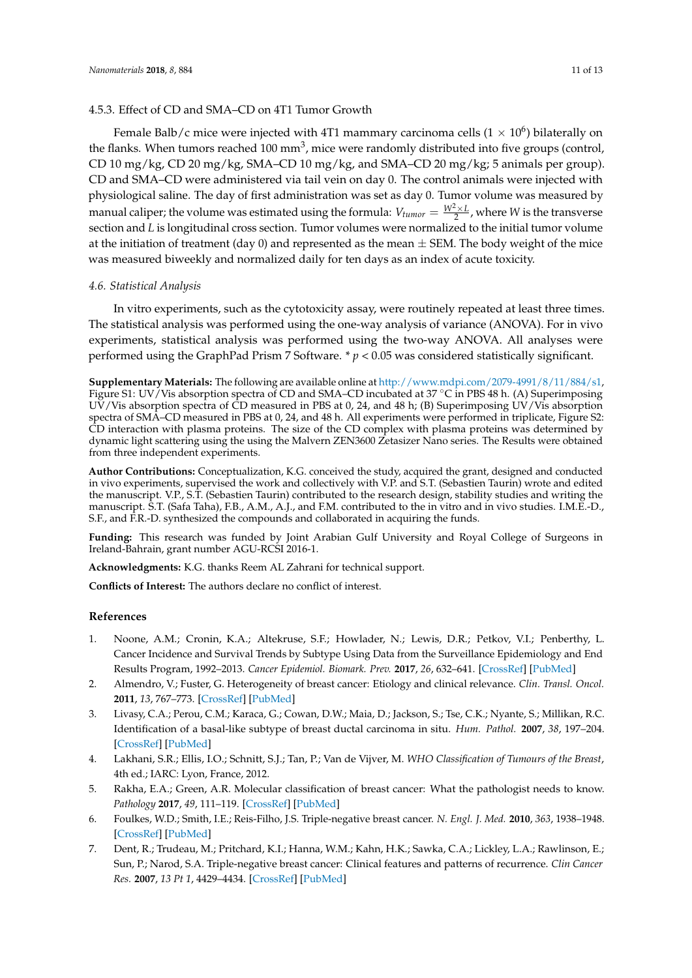#### 4.5.3. Effect of CD and SMA–CD on 4T1 Tumor Growth

Female Balb/c mice were injected with 4T1 mammary carcinoma cells (1  $\times$  10<sup>6</sup>) bilaterally on the flanks. When tumors reached 100 mm<sup>3</sup>, mice were randomly distributed into five groups (control, CD 10 mg/kg, CD 20 mg/kg, SMA–CD 10 mg/kg, and SMA–CD 20 mg/kg; 5 animals per group). CD and SMA–CD were administered via tail vein on day 0. The control animals were injected with physiological saline. The day of first administration was set as day 0. Tumor volume was measured by manual caliper; the volume was estimated using the formula:  $V_{tumor} = \frac{W^2 \times L}{2}$ , where *W* is the transverse section and *L* is longitudinal cross section. Tumor volumes were normalized to the initial tumor volume at the initiation of treatment (day 0) and represented as the mean  $\pm$  SEM. The body weight of the mice was measured biweekly and normalized daily for ten days as an index of acute toxicity.

#### *4.6. Statistical Analysis*

In vitro experiments, such as the cytotoxicity assay, were routinely repeated at least three times. The statistical analysis was performed using the one-way analysis of variance (ANOVA). For in vivo experiments, statistical analysis was performed using the two-way ANOVA. All analyses were performed using the GraphPad Prism 7 Software. \* *p* < 0.05 was considered statistically significant.

**Supplementary Materials:** The following are available online at [http://www.mdpi.com/2079-4991/8/11/884/s1,](http://www.mdpi.com/2079-4991/8/11/884/s1) Figure S1: UV/Vis absorption spectra of CD and SMA–CD incubated at 37 °C in PBS 48 h. (A) Superimposing UV/Vis absorption spectra of CD measured in PBS at 0, 24, and 48 h; (B) Superimposing UV/Vis absorption spectra of SMA–CD measured in PBS at 0, 24, and 48 h. All experiments were performed in triplicate, Figure S2: CD interaction with plasma proteins. The size of the CD complex with plasma proteins was determined by dynamic light scattering using the using the Malvern ZEN3600 Zetasizer Nano series. The Results were obtained from three independent experiments.

**Author Contributions:** Conceptualization, K.G. conceived the study, acquired the grant, designed and conducted in vivo experiments, supervised the work and collectively with V.P. and S.T. (Sebastien Taurin) wrote and edited the manuscript. V.P., S.T. (Sebastien Taurin) contributed to the research design, stability studies and writing the manuscript. S.T. (Safa Taha), F.B., A.M., A.J., and F.M. contributed to the in vitro and in vivo studies. I.M.E.-D., S.F., and F.R.-D. synthesized the compounds and collaborated in acquiring the funds.

**Funding:** This research was funded by Joint Arabian Gulf University and Royal College of Surgeons in Ireland-Bahrain, grant number AGU-RCSI 2016-1.

**Acknowledgments:** K.G. thanks Reem AL Zahrani for technical support.

**Conflicts of Interest:** The authors declare no conflict of interest.

#### **References**

- <span id="page-10-0"></span>1. Noone, A.M.; Cronin, K.A.; Altekruse, S.F.; Howlader, N.; Lewis, D.R.; Petkov, V.I.; Penberthy, L. Cancer Incidence and Survival Trends by Subtype Using Data from the Surveillance Epidemiology and End Results Program, 1992–2013. *Cancer Epidemiol. Biomark. Prev.* **2017**, *26*, 632–641. [\[CrossRef\]](http://dx.doi.org/10.1158/1055-9965.EPI-16-0520) [\[PubMed\]](http://www.ncbi.nlm.nih.gov/pubmed/27956436)
- <span id="page-10-1"></span>2. Almendro, V.; Fuster, G. Heterogeneity of breast cancer: Etiology and clinical relevance. *Clin. Transl. Oncol.* **2011**, *13*, 767–773. [\[CrossRef\]](http://dx.doi.org/10.1007/s12094-011-0731-9) [\[PubMed\]](http://www.ncbi.nlm.nih.gov/pubmed/22082639)
- <span id="page-10-2"></span>3. Livasy, C.A.; Perou, C.M.; Karaca, G.; Cowan, D.W.; Maia, D.; Jackson, S.; Tse, C.K.; Nyante, S.; Millikan, R.C. Identification of a basal-like subtype of breast ductal carcinoma in situ. *Hum. Pathol.* **2007**, *38*, 197–204. [\[CrossRef\]](http://dx.doi.org/10.1016/j.humpath.2006.08.017) [\[PubMed\]](http://www.ncbi.nlm.nih.gov/pubmed/17234468)
- <span id="page-10-3"></span>4. Lakhani, S.R.; Ellis, I.O.; Schnitt, S.J.; Tan, P.; Van de Vijver, M. *WHO Classification of Tumours of the Breast*, 4th ed.; IARC: Lyon, France, 2012.
- <span id="page-10-4"></span>5. Rakha, E.A.; Green, A.R. Molecular classification of breast cancer: What the pathologist needs to know. *Pathology* **2017**, *49*, 111–119. [\[CrossRef\]](http://dx.doi.org/10.1016/j.pathol.2016.10.012) [\[PubMed\]](http://www.ncbi.nlm.nih.gov/pubmed/28040199)
- <span id="page-10-5"></span>6. Foulkes, W.D.; Smith, I.E.; Reis-Filho, J.S. Triple-negative breast cancer. *N. Engl. J. Med.* **2010**, *363*, 1938–1948. [\[CrossRef\]](http://dx.doi.org/10.1056/NEJMra1001389) [\[PubMed\]](http://www.ncbi.nlm.nih.gov/pubmed/21067385)
- <span id="page-10-6"></span>7. Dent, R.; Trudeau, M.; Pritchard, K.I.; Hanna, W.M.; Kahn, H.K.; Sawka, C.A.; Lickley, L.A.; Rawlinson, E.; Sun, P.; Narod, S.A. Triple-negative breast cancer: Clinical features and patterns of recurrence. *Clin Cancer Res.* **2007**, *13 Pt 1*, 4429–4434. [\[CrossRef\]](http://dx.doi.org/10.1158/1078-0432.CCR-06-3045) [\[PubMed\]](http://www.ncbi.nlm.nih.gov/pubmed/17671126)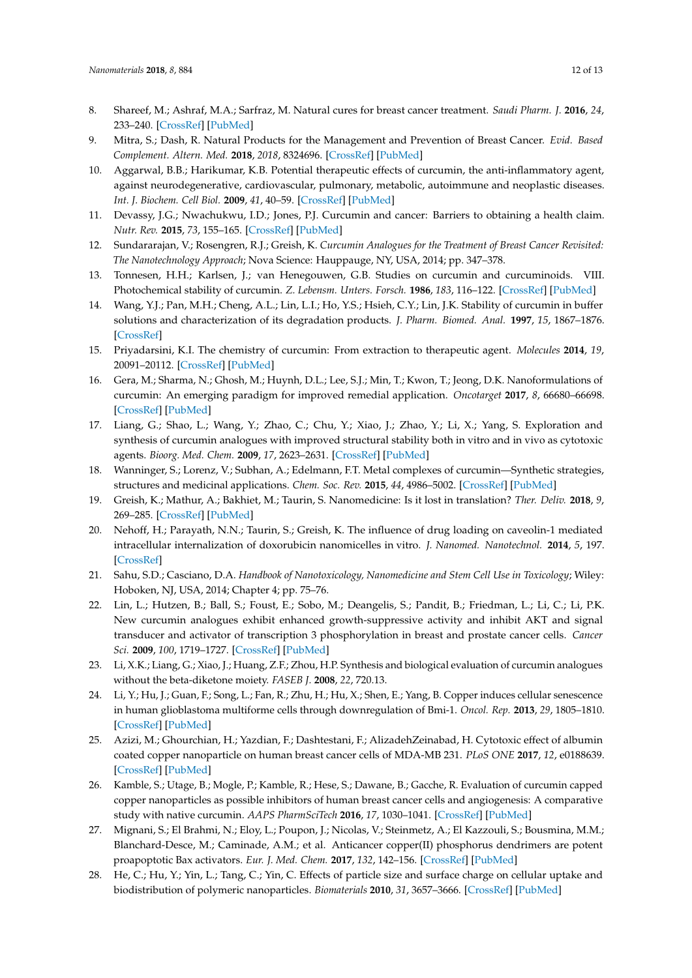- <span id="page-11-0"></span>8. Shareef, M.; Ashraf, M.A.; Sarfraz, M. Natural cures for breast cancer treatment. *Saudi Pharm. J.* **2016**, *24*, 233–240. [\[CrossRef\]](http://dx.doi.org/10.1016/j.jsps.2016.04.018) [\[PubMed\]](http://www.ncbi.nlm.nih.gov/pubmed/27275107)
- <span id="page-11-1"></span>9. Mitra, S.; Dash, R. Natural Products for the Management and Prevention of Breast Cancer. *Evid. Based Complement. Altern. Med.* **2018**, *2018*, 8324696. [\[CrossRef\]](http://dx.doi.org/10.1155/2018/8324696) [\[PubMed\]](http://www.ncbi.nlm.nih.gov/pubmed/29681985)
- <span id="page-11-2"></span>10. Aggarwal, B.B.; Harikumar, K.B. Potential therapeutic effects of curcumin, the anti-inflammatory agent, against neurodegenerative, cardiovascular, pulmonary, metabolic, autoimmune and neoplastic diseases. *Int. J. Biochem. Cell Biol.* **2009**, *41*, 40–59. [\[CrossRef\]](http://dx.doi.org/10.1016/j.biocel.2008.06.010) [\[PubMed\]](http://www.ncbi.nlm.nih.gov/pubmed/18662800)
- <span id="page-11-3"></span>11. Devassy, J.G.; Nwachukwu, I.D.; Jones, P.J. Curcumin and cancer: Barriers to obtaining a health claim. *Nutr. Rev.* **2015**, *73*, 155–165. [\[CrossRef\]](http://dx.doi.org/10.1093/nutrit/nuu064) [\[PubMed\]](http://www.ncbi.nlm.nih.gov/pubmed/26024538)
- <span id="page-11-4"></span>12. Sundararajan, V.; Rosengren, R.J.; Greish, K. *Curcumin Analogues for the Treatment of Breast Cancer Revisited: The Nanotechnology Approach*; Nova Science: Hauppauge, NY, USA, 2014; pp. 347–378.
- <span id="page-11-5"></span>13. Tonnesen, H.H.; Karlsen, J.; van Henegouwen, G.B. Studies on curcumin and curcuminoids. VIII. Photochemical stability of curcumin. *Z. Lebensm. Unters. Forsch.* **1986**, *183*, 116–122. [\[CrossRef\]](http://dx.doi.org/10.1007/BF01041928) [\[PubMed\]](http://www.ncbi.nlm.nih.gov/pubmed/3765852)
- <span id="page-11-6"></span>14. Wang, Y.J.; Pan, M.H.; Cheng, A.L.; Lin, L.I.; Ho, Y.S.; Hsieh, C.Y.; Lin, J.K. Stability of curcumin in buffer solutions and characterization of its degradation products. *J. Pharm. Biomed. Anal.* **1997**, *15*, 1867–1876. [\[CrossRef\]](http://dx.doi.org/10.1016/S0731-7085(96)02024-9)
- <span id="page-11-7"></span>15. Priyadarsini, K.I. The chemistry of curcumin: From extraction to therapeutic agent. *Molecules* **2014**, *19*, 20091–20112. [\[CrossRef\]](http://dx.doi.org/10.3390/molecules191220091) [\[PubMed\]](http://www.ncbi.nlm.nih.gov/pubmed/25470276)
- <span id="page-11-8"></span>16. Gera, M.; Sharma, N.; Ghosh, M.; Huynh, D.L.; Lee, S.J.; Min, T.; Kwon, T.; Jeong, D.K. Nanoformulations of curcumin: An emerging paradigm for improved remedial application. *Oncotarget* **2017**, *8*, 66680–66698. [\[CrossRef\]](http://dx.doi.org/10.18632/oncotarget.19164) [\[PubMed\]](http://www.ncbi.nlm.nih.gov/pubmed/29029547)
- <span id="page-11-9"></span>17. Liang, G.; Shao, L.; Wang, Y.; Zhao, C.; Chu, Y.; Xiao, J.; Zhao, Y.; Li, X.; Yang, S. Exploration and synthesis of curcumin analogues with improved structural stability both in vitro and in vivo as cytotoxic agents. *Bioorg. Med. Chem.* **2009**, *17*, 2623–2631. [\[CrossRef\]](http://dx.doi.org/10.1016/j.bmc.2008.10.044) [\[PubMed\]](http://www.ncbi.nlm.nih.gov/pubmed/19243951)
- <span id="page-11-10"></span>18. Wanninger, S.; Lorenz, V.; Subhan, A.; Edelmann, F.T. Metal complexes of curcumin—Synthetic strategies, structures and medicinal applications. *Chem. Soc. Rev.* **2015**, *44*, 4986–5002. [\[CrossRef\]](http://dx.doi.org/10.1039/C5CS00088B) [\[PubMed\]](http://www.ncbi.nlm.nih.gov/pubmed/25964104)
- <span id="page-11-11"></span>19. Greish, K.; Mathur, A.; Bakhiet, M.; Taurin, S. Nanomedicine: Is it lost in translation? *Ther. Deliv.* **2018**, *9*, 269–285. [\[CrossRef\]](http://dx.doi.org/10.4155/tde-2017-0118) [\[PubMed\]](http://www.ncbi.nlm.nih.gov/pubmed/29495928)
- <span id="page-11-12"></span>20. Nehoff, H.; Parayath, N.N.; Taurin, S.; Greish, K. The influence of drug loading on caveolin-1 mediated intracellular internalization of doxorubicin nanomicelles in vitro. *J. Nanomed. Nanotechnol.* **2014**, *5*, 197. [\[CrossRef\]](http://dx.doi.org/10.4172/2157-7439.1000197)
- <span id="page-11-13"></span>21. Sahu, S.D.; Casciano, D.A. *Handbook of Nanotoxicology, Nanomedicine and Stem Cell Use in Toxicology*; Wiley: Hoboken, NJ, USA, 2014; Chapter 4; pp. 75–76.
- <span id="page-11-14"></span>22. Lin, L.; Hutzen, B.; Ball, S.; Foust, E.; Sobo, M.; Deangelis, S.; Pandit, B.; Friedman, L.; Li, C.; Li, P.K. New curcumin analogues exhibit enhanced growth-suppressive activity and inhibit AKT and signal transducer and activator of transcription 3 phosphorylation in breast and prostate cancer cells. *Cancer Sci.* **2009**, *100*, 1719–1727. [\[CrossRef\]](http://dx.doi.org/10.1111/j.1349-7006.2009.01220.x) [\[PubMed\]](http://www.ncbi.nlm.nih.gov/pubmed/19558577)
- <span id="page-11-15"></span>23. Li, X.K.; Liang, G.; Xiao, J.; Huang, Z.F.; Zhou, H.P. Synthesis and biological evaluation of curcumin analogues without the beta-diketone moiety. *FASEB J.* **2008**, *22*, 720.13.
- <span id="page-11-16"></span>24. Li, Y.; Hu, J.; Guan, F.; Song, L.; Fan, R.; Zhu, H.; Hu, X.; Shen, E.; Yang, B. Copper induces cellular senescence in human glioblastoma multiforme cells through downregulation of Bmi-1. *Oncol. Rep.* **2013**, *29*, 1805–1810. [\[CrossRef\]](http://dx.doi.org/10.3892/or.2013.2333) [\[PubMed\]](http://www.ncbi.nlm.nih.gov/pubmed/23468063)
- <span id="page-11-17"></span>25. Azizi, M.; Ghourchian, H.; Yazdian, F.; Dashtestani, F.; AlizadehZeinabad, H. Cytotoxic effect of albumin coated copper nanoparticle on human breast cancer cells of MDA-MB 231. *PLoS ONE* **2017**, *12*, e0188639. [\[CrossRef\]](http://dx.doi.org/10.1371/journal.pone.0188639) [\[PubMed\]](http://www.ncbi.nlm.nih.gov/pubmed/29186208)
- <span id="page-11-18"></span>26. Kamble, S.; Utage, B.; Mogle, P.; Kamble, R.; Hese, S.; Dawane, B.; Gacche, R. Evaluation of curcumin capped copper nanoparticles as possible inhibitors of human breast cancer cells and angiogenesis: A comparative study with native curcumin. *AAPS PharmSciTech* **2016**, *17*, 1030–1041. [\[CrossRef\]](http://dx.doi.org/10.1208/s12249-015-0435-5) [\[PubMed\]](http://www.ncbi.nlm.nih.gov/pubmed/26729534)
- <span id="page-11-19"></span>27. Mignani, S.; El Brahmi, N.; Eloy, L.; Poupon, J.; Nicolas, V.; Steinmetz, A.; El Kazzouli, S.; Bousmina, M.M.; Blanchard-Desce, M.; Caminade, A.M.; et al. Anticancer copper(II) phosphorus dendrimers are potent proapoptotic Bax activators. *Eur. J. Med. Chem.* **2017**, *132*, 142–156. [\[CrossRef\]](http://dx.doi.org/10.1016/j.ejmech.2017.03.035) [\[PubMed\]](http://www.ncbi.nlm.nih.gov/pubmed/28350998)
- <span id="page-11-20"></span>28. He, C.; Hu, Y.; Yin, L.; Tang, C.; Yin, C. Effects of particle size and surface charge on cellular uptake and biodistribution of polymeric nanoparticles. *Biomaterials* **2010**, *31*, 3657–3666. [\[CrossRef\]](http://dx.doi.org/10.1016/j.biomaterials.2010.01.065) [\[PubMed\]](http://www.ncbi.nlm.nih.gov/pubmed/20138662)